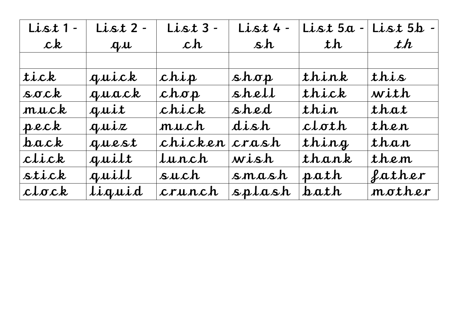| List 1-     | List 2 - | List 3 - | $List$ 4 - | List 5a | List 5b - |
|-------------|----------|----------|------------|---------|-----------|
| ck          | $a\mu$   | ch       | sh         | th      | th        |
|             |          |          |            |         |           |
| tick        | quick    | chip     | shap       | think   | this      |
| $s$ ock     | guack    | chop     | shell      | thick   | with      |
| muck        | quit     | chick    | shed       | thin    | that      |
| pack        | quix     | much     | dish       | cloth   | then      |
| $\bf{back}$ | guest    | chicken  | crash      | thing   | than      |
| click       | quilt    | Lunch    | wish       | thank   | them      |
| stick       | quill    | such     | smash      | path    | father    |
| clock       | liquid   | crunch   | splash     | bath    | mother    |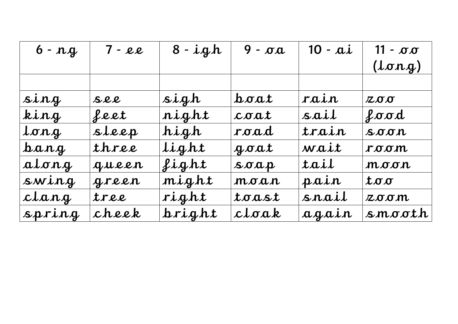| $6 - nq$         | $7 - e e$ | $8 - igh$ | $9 - \sigma a$           | $10 - ai$ | $11 - \sigma \sigma$                 |
|------------------|-----------|-----------|--------------------------|-----------|--------------------------------------|
|                  |           |           |                          |           | $(l\sigma nq)$                       |
|                  |           |           |                          |           |                                      |
| sing             | $S$ ll    | sigh      | $\Delta \sigma \alpha t$ | rain      | 200                                  |
| king             | feet      | night     | coat                     | sail      | food                                 |
| long             | sleep     | high      | road                     | train     | $S_{\text{O}}$                       |
| $\bm{b}$ ang     | three     | light     | $q \sigma \alpha t$      | wait      | room                                 |
| atong            | gueen     | Light     | $s \sigma a p$           | tail      | $\boldsymbol{m}$ oo $\boldsymbol{n}$ |
| swing            | green     | might     | moan                     | pain      | $t$ oo                               |
| clang            | tree      | right     | toast                    | snail     | zoom                                 |
| $s$ <i>pring</i> | cheek     | hright    | cloak                    | again     | smooth                               |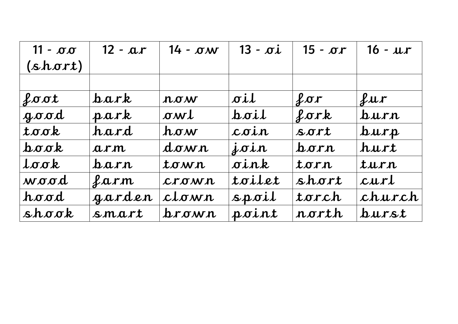| $11 - \sigma \sigma$                           | $12 - ar$ | $14 - \sigma w$ | $13 - \sigma i$   | $15 - \sigma r$ | $16 - ur$        |
|------------------------------------------------|-----------|-----------------|-------------------|-----------------|------------------|
| (short)                                        |           |                 |                   |                 |                  |
|                                                |           |                 |                   |                 |                  |
| $\ell$ oot                                     | bark      | now             | oil               | for             | $\ell$ ur        |
| $q \sigma \sigma d$                            | park      | owl             | $h$ oil           | for k           | $_{\text{burn}}$ |
| $to \sigma k$                                  | hard      | $h \sigma w$    | $\mathcal{L}$ oin | $S$ ort         | $_{\text{turn}}$ |
| $\mathbf{b} \sigma \mathbf{\sigma} \mathbf{k}$ | arm       | down            | $j$ oin           | barn            | hurt             |
| $L \sigma \sigma k$                            | parn      | town            | oink              | torn            | turn             |
| wood                                           | Larm      | $C$ rown        | toilet            | short           | curl             |
| hood                                           | garden    | clown           | $s$ <i>poil</i>   | torch           | church           |
| shock                                          | smart     | hrown           | point             | rorth           | $_{burst}$       |